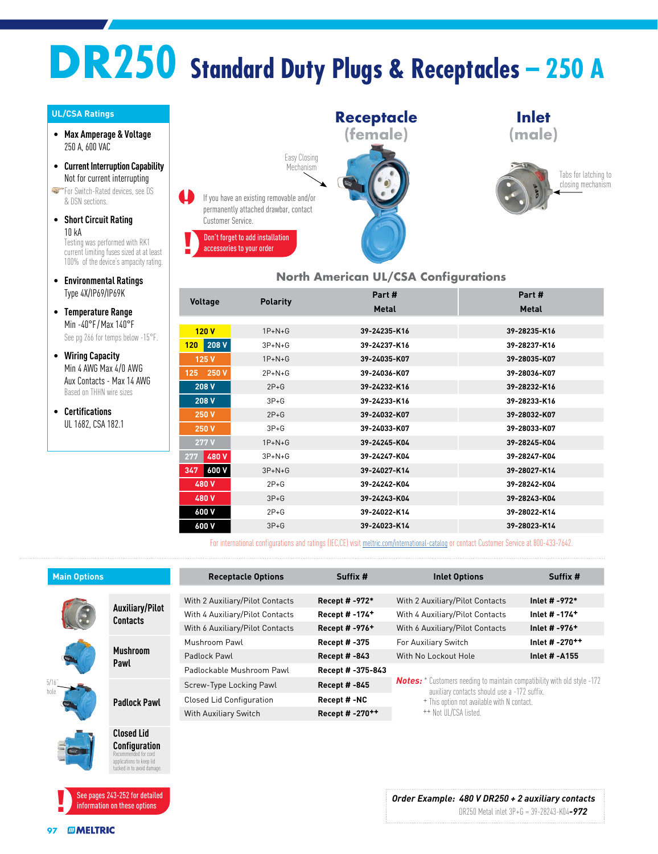# **DR250 Standard Duty Plugs & Receptacles – 250 A**

#### **UL/CSA Ratings**

- **Max Amperage & Voltage** 250 A, 600 VAC
- **Current Interruption Capability** Not for current interrupting

**For Switch-Rated devices, see DS** & DSN sections.

• **Short Circuit Rating** 10 kA

Testing was performed with RK1 current limiting fuses sized at at least 100% of the device's ampacity rating.

- **Environmental Ratings** Type 4X/IP69/IP69K
- **Temperature Range** Min -40°F /Max 140°F See pg 266 for temps below -15°F.
- **Wiring Capacity** Min 4 AWG Max 4/0 AWG Aux Contacts - Max 14 AWG Based on THHN wire sizes
- **Certifications** UL 1682, CSA 182.1



#### **North American UL/CSA Configurations**

|                |                 | Part #       | Part#        |
|----------------|-----------------|--------------|--------------|
| <b>Voltage</b> | <b>Polarity</b> | <b>Metal</b> | <b>Metal</b> |
|                |                 |              |              |
| 120V           | $1P + N + G$    | 39-24235-K16 | 39-28235-K16 |
| 208 V<br>120   | $3P + N + G$    | 39-24237-K16 | 39-28237-K16 |
| 125 V          | $1P + N + G$    | 39-24035-K07 | 39-28035-K07 |
| 250 V<br>125   | $2P+N+G$        | 39-24036-K07 | 39-28036-K07 |
| 208 V          | $2P+G$          | 39-24232-K16 | 39-28232-K16 |
| 208 V          | $3P + G$        | 39-24233-K16 | 39-28233-K16 |
| 250 V          | $2P + G$        | 39-24032-K07 | 39-28032-K07 |
| 250 V          | $3P + G$        | 39-24033-K07 | 39-28033-K07 |
| 277V           | $1P+N+G$        | 39-24245-K04 | 39-28245-K04 |
| 480 V<br>277   | $3P + N + G$    | 39-24247-K04 | 39-28247-K04 |
| 600 V<br>347   | $3P + N + G$    | 39-24027-K14 | 39-28027-K14 |
| 480 V          | $2P+G$          | 39-24242-K04 | 39-28242-K04 |
| 480 V          | $3P+G$          | 39-24243-K04 | 39-28243-K04 |
| 600 V          | $2P+G$          | 39-24022-K14 | 39-28022-K14 |
| 600 V          | $3P+G$          | 39-24023-K14 | 39-28023-K14 |

For international configurations and ratings (IEC,CE) visit [meltric.com/international-catalog](https://meltric.com/media/contentmanager/content/MARECHAL_Full_Catalogue_EN_1.pdf) or contact Customer Service at 800-433-7642.

| <b>Main Options</b> |                                    | <b>Receptacle Options</b>       | Suffix #                   | <b>Inlet Options</b>                                                                                                                                                                                    | Suffix #                   |
|---------------------|------------------------------------|---------------------------------|----------------------------|---------------------------------------------------------------------------------------------------------------------------------------------------------------------------------------------------------|----------------------------|
|                     |                                    |                                 |                            |                                                                                                                                                                                                         |                            |
|                     | Auxiliary/Pilot<br><b>Contacts</b> | With 2 Auxiliary/Pilot Contacts | Recept # -972*             | With 2 Auxiliary/Pilot Contacts                                                                                                                                                                         | Inlet # -972*              |
|                     |                                    | With 4 Auxiliary/Pilot Contacts | Recept #-174 <sup>+</sup>  | With 4 Auxiliary/Pilot Contacts                                                                                                                                                                         | Inlet # -174 <sup>+</sup>  |
|                     |                                    | With 6 Auxiliary/Pilot Contacts | Recept # -976 <sup>+</sup> | With 6 Auxiliary/Pilot Contacts                                                                                                                                                                         | Inlet # -976 <sup>+</sup>  |
|                     | <b>Mushroom</b><br>Pawl            | Mushroom Pawl                   | Recept # -375              | For Auxiliary Switch                                                                                                                                                                                    | Inlet # -270 <sup>++</sup> |
|                     |                                    | Padlock Pawl                    | <b>Recept #-843</b>        | With No Lockout Hole                                                                                                                                                                                    | Inlet # -A155              |
|                     |                                    | Padlockable Mushroom Pawl       | Recept # -375-843          |                                                                                                                                                                                                         |                            |
|                     | <b>Padlock Pawl</b>                | Screw-Type Locking Pawl         | Recept # -845              | <b>Notes:</b> * Customers needing to maintain compatibility with old style -172<br>auxiliary contacts should use a -172 suffix.<br>+ This option not available with N contact.<br>++ Not UI/CSA listed. |                            |
|                     |                                    | <b>Closed Lid Configuration</b> | Recept #-NC                |                                                                                                                                                                                                         |                            |
|                     |                                    | With Auxiliary Switch           | Recept #-270++             |                                                                                                                                                                                                         |                            |
| $\sim$              | <b>Closed Lid</b>                  |                                 |                            |                                                                                                                                                                                                         |                            |

**Configuration** Recommended for cord lications to keep lid